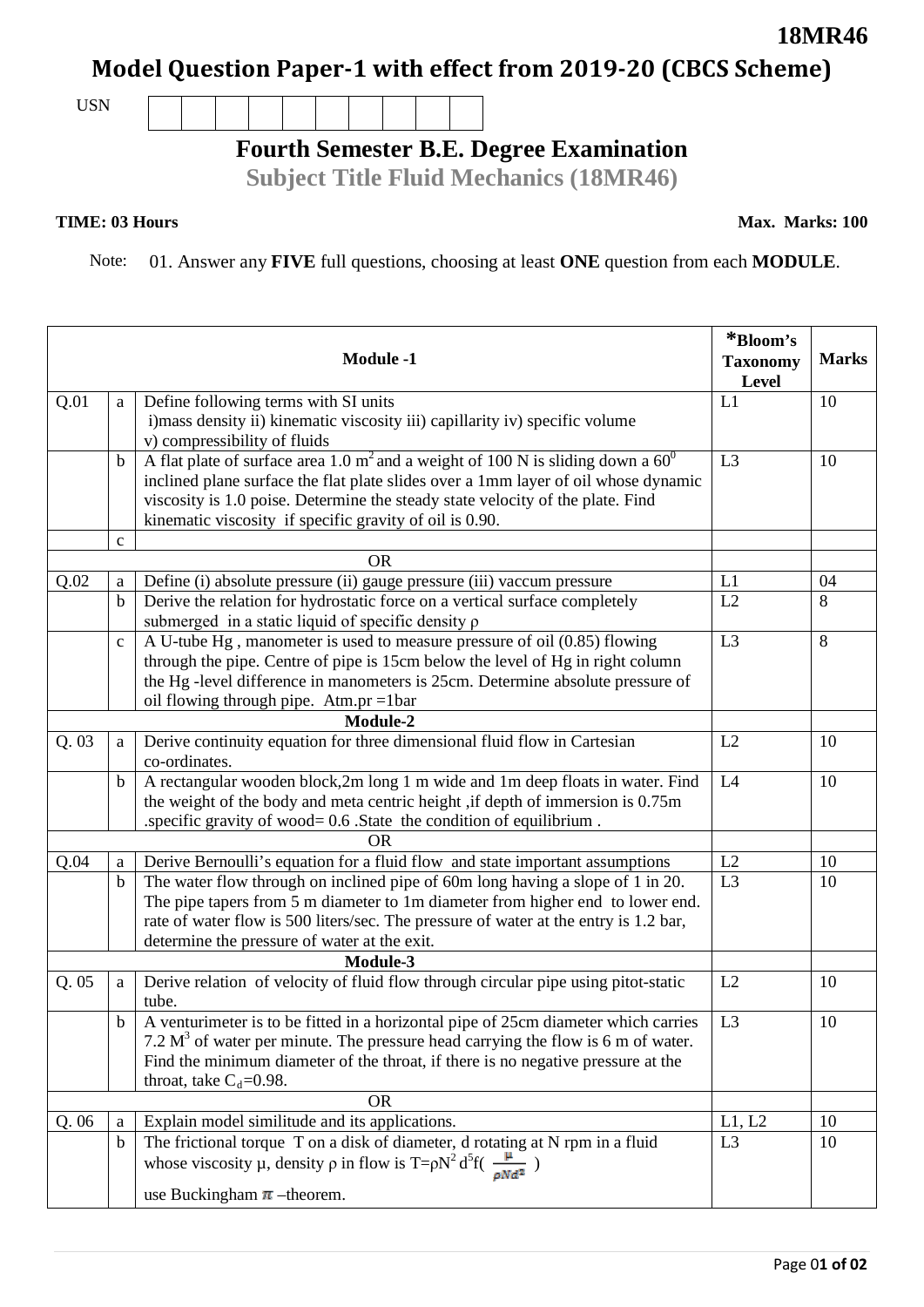## **Model Question Paper-1 with effect from 2019-20 (CBCS Scheme)**

USN

## **Fourth Semester B.E. Degree Examination**

**Subject Title Fluid Mechanics (18MR46)**

## **TIME: 03 Hours**

Note: 01. Answer any **FIVE** full questions, choosing at least **ONE** question from each **MODULE**.

|      |              | <b>Module -1</b>                                                                                                                                                 | *Bloom's<br><b>Taxonomy</b><br>Level | <b>Marks</b> |
|------|--------------|------------------------------------------------------------------------------------------------------------------------------------------------------------------|--------------------------------------|--------------|
| Q.01 | a            | Define following terms with SI units                                                                                                                             | L1                                   | 10           |
|      |              | i) mass density ii) kinematic viscosity iii) capillarity iv) specific volume                                                                                     |                                      |              |
|      |              | v) compressibility of fluids                                                                                                                                     |                                      |              |
|      | $\mathbf b$  | A flat plate of surface area 1.0 $m^2$ and a weight of 100 N is sliding down a 60 <sup>0</sup>                                                                   | L <sub>3</sub>                       | 10           |
|      |              | inclined plane surface the flat plate slides over a 1mm layer of oil whose dynamic                                                                               |                                      |              |
|      |              | viscosity is 1.0 poise. Determine the steady state velocity of the plate. Find                                                                                   |                                      |              |
|      |              | kinematic viscosity if specific gravity of oil is 0.90.                                                                                                          |                                      |              |
|      | $\mathbf c$  |                                                                                                                                                                  |                                      |              |
|      |              | <b>OR</b>                                                                                                                                                        |                                      |              |
| Q.02 | $\rm{a}$     | Define (i) absolute pressure (ii) gauge pressure (iii) vaccum pressure                                                                                           | L1                                   | 04           |
|      | $\mathbf b$  | Derive the relation for hydrostatic force on a vertical surface completely                                                                                       | L2                                   | 8            |
|      |              | submerged in a static liquid of specific density $\rho$                                                                                                          |                                      |              |
|      | $\mathbf{c}$ | A U-tube Hg, manometer is used to measure pressure of oil (0.85) flowing                                                                                         | L <sub>3</sub>                       | 8            |
|      |              | through the pipe. Centre of pipe is 15cm below the level of Hg in right column                                                                                   |                                      |              |
|      |              | the Hg -level difference in manometers is 25cm. Determine absolute pressure of                                                                                   |                                      |              |
|      |              | oil flowing through pipe. Atm.pr = $11$ bar                                                                                                                      |                                      |              |
|      |              | Module-2                                                                                                                                                         |                                      |              |
| Q.03 | a            | Derive continuity equation for three dimensional fluid flow in Cartesian                                                                                         | L2                                   | 10           |
|      |              | co-ordinates.                                                                                                                                                    | L4                                   |              |
|      | $\mathbf b$  | A rectangular wooden block, 2m long 1 m wide and 1m deep floats in water. Find<br>the weight of the body and meta centric height, if depth of immersion is 0.75m |                                      | 10           |
|      |              | .specific gravity of wood= 0.6 .State the condition of equilibrium.                                                                                              |                                      |              |
|      |              | <b>OR</b>                                                                                                                                                        |                                      |              |
| Q.04 | $\rm{a}$     | Derive Bernoulli's equation for a fluid flow and state important assumptions                                                                                     | L2                                   | 10           |
|      | $\mathbf b$  | The water flow through on inclined pipe of 60m long having a slope of 1 in 20.                                                                                   | L <sub>3</sub>                       | 10           |
|      |              | The pipe tapers from 5 m diameter to 1m diameter from higher end to lower end.                                                                                   |                                      |              |
|      |              | rate of water flow is 500 liters/sec. The pressure of water at the entry is 1.2 bar,                                                                             |                                      |              |
|      |              | determine the pressure of water at the exit.                                                                                                                     |                                      |              |
|      |              | Module-3                                                                                                                                                         |                                      |              |
| Q.05 | $\rm{a}$     | Derive relation of velocity of fluid flow through circular pipe using pitot-static                                                                               | L2                                   | 10           |
|      |              | tube.                                                                                                                                                            |                                      |              |
|      | b            | A venturimeter is to be fitted in a horizontal pipe of 25cm diameter which carries                                                                               | L <sub>3</sub>                       | 10           |
|      |              | 7.2 $M3$ of water per minute. The pressure head carrying the flow is 6 m of water.                                                                               |                                      |              |
|      |              | Find the minimum diameter of the throat, if there is no negative pressure at the                                                                                 |                                      |              |
|      |              | throat, take $C_d = 0.98$ .                                                                                                                                      |                                      |              |
|      |              | <b>OR</b>                                                                                                                                                        |                                      |              |
| Q.06 | $\rm{a}$     | Explain model similitude and its applications.                                                                                                                   | L1, L2                               | 10           |
|      | $\mathbf b$  | The frictional torque T on a disk of diameter, d rotating at N rpm in a fluid                                                                                    | L <sub>3</sub>                       | 10           |
|      |              | whose viscosity $\mu$ , density $\rho$ in flow is T= $\rho N^2 d^5 f(\frac{\mu}{e^{N}M^2})$                                                                      |                                      |              |
|      |              | use Buckingham $\pi$ -theorem.                                                                                                                                   |                                      |              |

**18MR46**

**Max. Marks: 100**